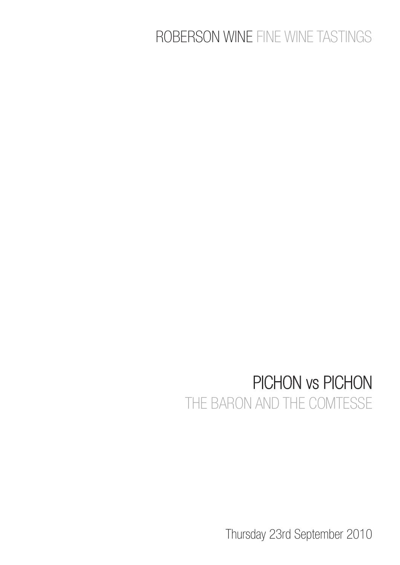## ROBERSON WINE FINE WINE TASTINGS

## PICHON vs PICHON THE BARON AND THE COMTESSE

Thursday 23rd September 2010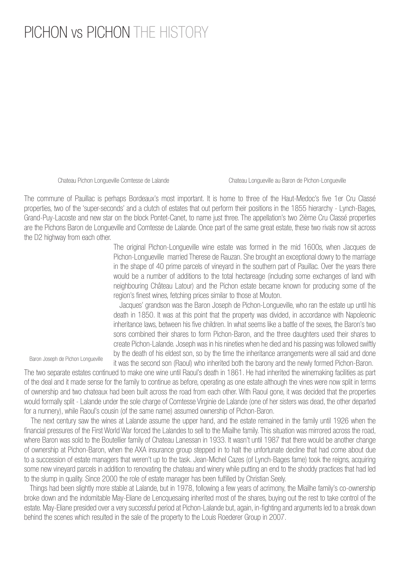## PICHON vs PICHON THE HISTORY

Chateau Pichon Longueville Comtesse de Lalande Chateau Longueville au Baron de Pichon-Longueville

The commune of Pauillac is perhaps Bordeaux's most important. It is home to three of the Haut-Medoc's five 1er Cru Classé properties, two of the 'super-seconds' and a clutch of estates that out perform their positions in the 1855 hierarchy - Lynch-Bages, Grand-Puy-Lacoste and new star on the block Pontet-Canet, to name just three. The appellation's two 2ième Cru Classé properties are the Pichons Baron de Longueville and Comtesse de Lalande. Once part of the same great estate, these two rivals now sit across the D2 highway from each other.

> The original Pichon-Longueville wine estate was formed in the mid 1600s, when Jacques de Pichon-Longueville married Therese de Rauzan. She brought an exceptional dowry to the marriage in the shape of 40 prime parcels of vineyard in the southern part of Pauillac. Over the years there would be a number of additions to the total hectareage (including some exchanges of land with neighbouring Château Latour) and the Pichon estate became known for producing some of the region's finest wines, fetching prices similar to those at Mouton.

> Jacques' grandson was the Baron Joseph de Pichon-Longueville, who ran the estate up until his death in 1850. It was at this point that the property was divided, in accordance with Napoleonic inheritance laws, between his five children. In what seems like a battle of the sexes, the Baron's two sons combined their shares to form Pichon-Baron, and the three daughters used their shares to create Pichon-Lalande. Joseph was in his nineties when he died and his passing was followed swiftly by the death of his eldest son, so by the time the inheritance arrangements were all said and done it was the second son (Raoul) who inherited both the barony and the newly formed Pichon-Baron.

Baron Joseph de Pichon Longueville

The two separate estates continued to make one wine until Raoul's death in 1861. He had inherited the winemaking facilities as part of the deal and it made sense for the family to continue as before, operating as one estate although the vines were now split in terms of ownership and two chateaux had been built across the road from each other. With Raoul gone, it was decided that the properties would formally split - Lalande under the sole charge of Comtesse Virginie de Lalande (one of her sisters was dead, the other departed for a nunnery), while Raoul's cousin (of the same name) assumed ownership of Pichon-Baron.

 The next century saw the wines at Lalande assume the upper hand, and the estate remained in the family until 1926 when the financial pressures of the First World War forced the Lalandes to sell to the Miailhe family. This situation was mirrored across the road, where Baron was sold to the Boutellier family of Chateau Lanessan in 1933. It wasn't until 1987 that there would be another change of ownership at Pichon-Baron, when the AXA insurance group stepped in to halt the unfortunate decline that had come about due to a succession of estate managers that weren't up to the task. Jean-Michel Cazes (of Lynch-Bages fame) took the reigns, acquiring some new vineyard parcels in addition to renovating the chateau and winery while putting an end to the shoddy practices that had led to the slump in quality. Since 2000 the role of estate manager has been fulfilled by Christian Seely.

 Things had been slightly more stable at Lalande, but in 1978, following a few years of acrimony, the Miailhe family's co-ownership broke down and the indomitable May-Eliane de Lencquesaing inherited most of the shares, buying out the rest to take control of the estate. May-Eliane presided over a very successful period at Pichon-Lalande but, again, in-fighting and arguments led to a break down behind the scenes which resulted in the sale of the property to the Louis Roederer Group in 2007.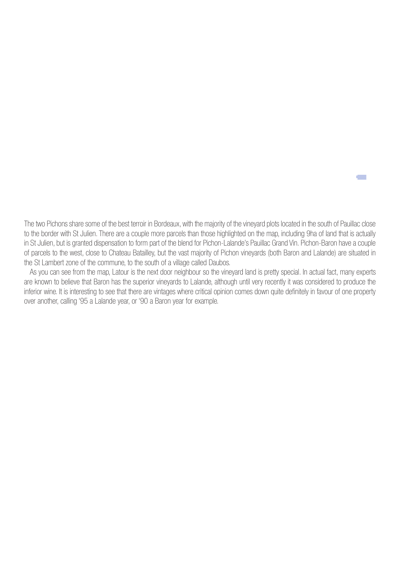The two Pichons share some of the best terroir in Bordeaux, with the majority of the vineyard plots located in the south of Pauillac close to the border with St Julien. There are a couple more parcels than those highlighted on the map, including 9ha of land that is actually in St Julien, but is granted dispensation to form part of the blend for Pichon-Lalande's Pauillac Grand Vin. Pichon-Baron have a couple of parcels to the west, close to Chateau Batailley, but the vast majority of Pichon vineyards (both Baron and Lalande) are situated in the St Lambert zone of the commune, to the south of a village called Daubos.

e e c

 As you can see from the map, Latour is the next door neighbour so the vineyard land is pretty special. In actual fact, many experts are known to believe that Baron has the superior vineyards to Lalande, although until very recently it was considered to produce the inferior wine. It is interesting to see that there are vintages where critical opinion comes down quite definitely in favour of one property over another, calling '95 a Lalande year, or '90 a Baron year for example.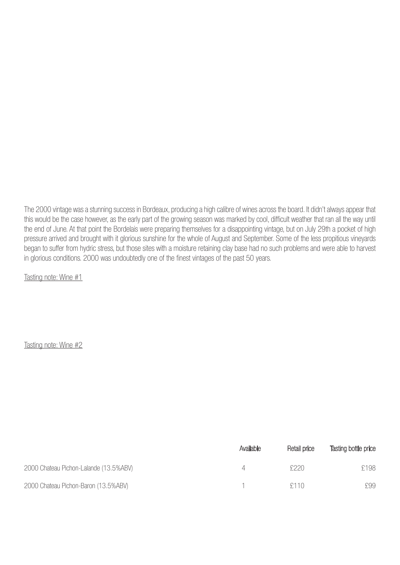The 2000 vintage was a stunning success in Bordeaux, producing a high calibre of wines across the board. It didn't always appear that this would be the case however, as the early part of the growing season was marked by cool, difficult weather that ran all the way until the end of June. At that point the Bordelais were preparing themselves for a disappointing vintage, but on July 29th a pocket of high pressure arrived and brought with it glorious sunshine for the whole of August and September. Some of the less propitious vineyards began to suffer from hydric stress, but those sites with a moisture retaining clay base had no such problems and were able to harvest in glorious conditions. 2000 was undoubtedly one of the finest vintages of the past 50 years.

Tasting note: Wine #1

|                                        | Available | Retail price | Tasting bottle price |
|----------------------------------------|-----------|--------------|----------------------|
| 2000 Chateau Pichon-Lalande (13.5%ABV) |           | f220         | £198                 |
| 2000 Chateau Pichon-Baron (13.5%ABV)   |           | £110         | £99                  |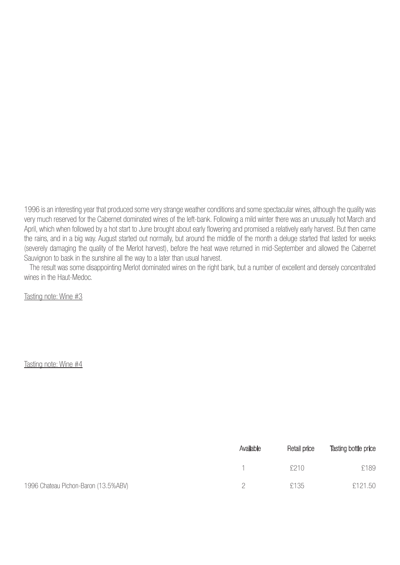1996 is an interesting year that produced some very strange weather conditions and some spectacular wines, although the quality was very much reserved for the Cabernet dominated wines of the left-bank. Following a mild winter there was an unusually hot March and April, which when followed by a hot start to June brought about early flowering and promised a relatively early harvest. But then came the rains, and in a big way. August started out normally, but around the middle of the month a deluge started that lasted for weeks (severely damaging the quality of the Merlot harvest), before the heat wave returned in mid-September and allowed the Cabernet Sauvignon to bask in the sunshine all the way to a later than usual harvest.

 The result was some disappointing Merlot dominated wines on the right bank, but a number of excellent and densely concentrated wines in the Haut-Medoc.

Tasting note: Wine #3

|                                      | Available | Retail price | Tasting bottle price |
|--------------------------------------|-----------|--------------|----------------------|
|                                      |           | 5210         | £189                 |
| 1996 Chateau Pichon-Baron (13.5%ABV) |           | £135         | £121.50              |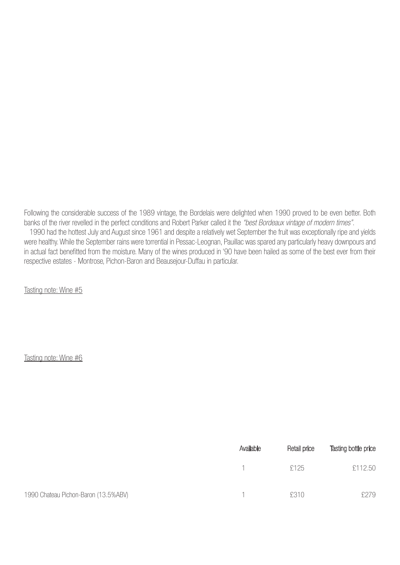Following the considerable success of the 1989 vintage, the Bordelais were delighted when 1990 proved to be even better. Both banks of the river revelled in the perfect conditions and Robert Parker called it the "best Bordeaux vintage of modern times". 1990 had the hottest July and August since 1961 and despite a relatively wet September the fruit was exceptionally ripe and yields were healthy. While the September rains were torrential in Pessac-Leognan, Pauillac was spared any particularly heavy downpours and in actual fact benefitted from the moisture. Many of the wines produced in '90 have been hailed as some of the best ever from their respective estates - Montrose, Pichon-Baron and Beausejour-Duffau in particular.

Tasting note: Wine #5

|                                      | Available | Retail price | Tasting bottle price |
|--------------------------------------|-----------|--------------|----------------------|
|                                      |           | £125         | £112.50              |
| 1990 Chateau Pichon-Baron (13.5%ABV) |           | £310         | £279                 |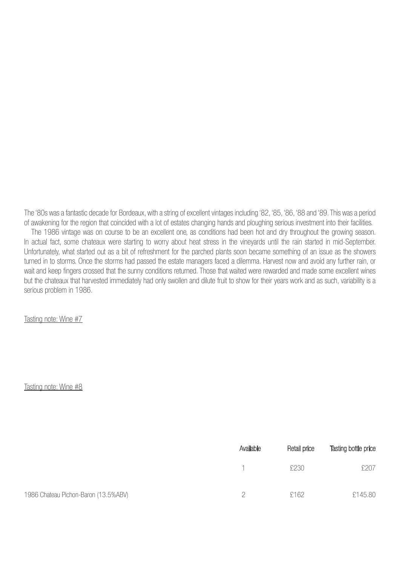The '80s was a fantastic decade for Bordeaux, with a string of excellent vintages including '82, '85, '86, '88 and '89. This was a period of awakening for the region that coincided with a lot of estates changing hands and ploughing serious investment into their facilities. The 1986 vintage was on course to be an excellent one, as conditions had been hot and dry throughout the growing season. In actual fact, some chateaux were starting to worry about heat stress in the vineyards until the rain started in mid-September. Unfortunately, what started out as a bit of refreshment for the parched plants soon became something of an issue as the showers turned in to storms. Once the storms had passed the estate managers faced a dilemma. Harvest now and avoid any further rain, or wait and keep fingers crossed that the sunny conditions returned. Those that waited were rewarded and made some excellent wines but the chateaux that harvested immediately had only swollen and dilute fruit to show for their years work and as such, variability is a serious problem in 1986.

Tasting note: Wine #7

|                                      | Available | Retail price | Tasting bottle price |
|--------------------------------------|-----------|--------------|----------------------|
|                                      |           | £230         | £207                 |
| 1986 Chateau Pichon-Baron (13.5%ABV) |           | £162         | £145.80              |